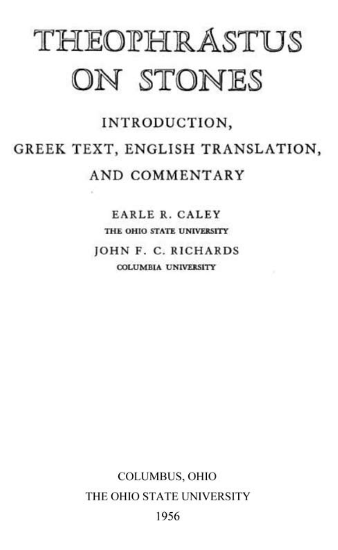## THEOJPHRASTUS ON STONES

## INTRODUCTION, GREEK TEXT, ENGLISH TRANSLATION, AND COMMENTARY

EARLE R. CALEY THE OHIO STATE UNIVERSITY JOHN F. C. RICHARDS COLUMBIA UNIVERSITY

COLUMBUS, OHIO THE OHIO STATE UNIVERSITY 1956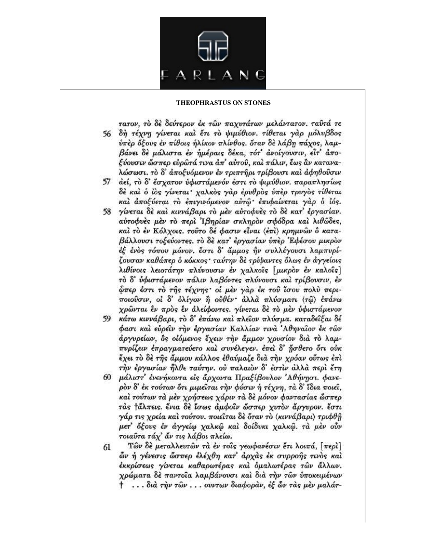τατον, τὸ δε δεύτερον έκ τῶν παχυτάτων μελάντατον, ταῦτά τε

- δή τέχνη γίνεται και έτι το ψιμύθιον. τίθεται γαρ μόλυβδος 56 ύπερ όξους έν πίθοις ήλίκον πλίνθος. όταν δε λάβη πάχος, λαμβάνει δε μάλιστα έν ήμέραις δέκα, τότ' ανοίγουσιν, είτ' άποξύουσιν ώσπερ ευρώτά τινα άπ' αυτού, και πάλιν, έως αν καταναλώσωσι. το δ' άποξυόμενον έν τριπτήρι τρίβουσι και άφηθούσιν
- άεί, το δ' έσχατον υφιστάμενόν έστι το ψιμύθιον, παραπλησίως 57 δέ και ο ίος γίνεται χαλκός γάρ έρυθρος ύπερ τρυγος τίθεται και άποξύεται το επιγινόμενον αυτώ επιφαίνεται γάρ ο ίός.
- γίνεται δε και κιννάβαρι το μεν αυτοφυές το δε κατ' έργασίαν. 58 αύτοφυές μέν το περί Ιβηρίαν σκληρον σφόδρα και λιθώδες, καί το έν Κόλχοις, τούτο δέ φασιν είναι (έπι) κρημνών ο καταβάλλουσι τοξεύοντες, το δε κατ' έργασίαν ύπερ Εφέσου μικρον έξ ένος τόπου μόνον. έστι δ' άμμος ήν συλλέγουσι λαμπυρίζουσαν καθάπερ ο κόκκος· ταύτην δε τρύμαντες όλως έν άγγείοις λιθίνοις λειοτάτην πλύνουσιν έν χαλκοΐς [μικρον έν καλοΐς] τὸ δ' υφιστάμενον πάλιν λαβόντες πλύνουσι και τρίβουσιν, έν ώπερ έστι το της τέχνης οι μεν γάρ έκ του ίσου πολύ περιποιούσιν, οι δ' όλίγον ή ούθέν· άλλά πλύσματι (τώ) επάνω χρώνται έν πρός έν άλείφοντες. γίνεται δε το μεν ύφιστάμενον
- κάτω κιννάβαρι, το δ' έπάνω και πλείον πλύσμα. καταδείξαι δέ 59 φασι και ευρείν την εργασίαν Καλλίαν τινά 'Αθηναίον έκ των άργυρείων, δε οιόμενος έχειν την άμμον χρυσίον διά το λαμπυρίζειν έπραγματεύετο και συνέλεγεν. έπει δ' ήσθετο ότι ούκ έχει τὸ δὲ τῆς ἄμμου κάλλος ἐθαύμαζε διὰ τὴν χρόαν οὗτως ἐπὶ την έργασίαν ήλθε ταύτην. ού παλαιον δ' έστιν άλλα περί έτη
- μάλιστ' ένενήκοντα είς άρχοντα Πραξίβουλον 'Αθήνησι. φανε-60 ρον δ' έκ τούτων ότι μιμείται την φύσιν ή τέχνη, τα δ' ίδια ποιεί, και τούτων τα μεν χρήσεως χάριν τα δε μόνον φαντασίας ώσπερ τάς *τάλπεις. ένια δε ίσως άμφοιν ώσπερ χυτον άργυρον. έστι* γάρ τις χρεία και τούτου, ποιείται δε όταν το (κιννάβαρι) τριφθή μετ' όξους έν άγγείω χαλκώ και δοίδυκι χαλκώ. τα μεν ούν τοιαύτα τάχ' άν τις λάβοι πλείω.
- Τών δε μεταλλευτών τα έν τοις γεωφανέσιν έτι λοιπά, [περί] 61 ών ή γένεσις ώσπερ έλέχθη κατ' άρχας έκ συρροής τινός και έκκρίσεως γίνεται καθαρωτέρας και ομαλωτέρας τών άλλων. χρώματα δε παντοΐα λαμβάνουσι και δια την των υποκειμένων † ... διά την τών... ουντων διαφοράν, έξ ών τὰς μὲν μαλάτ-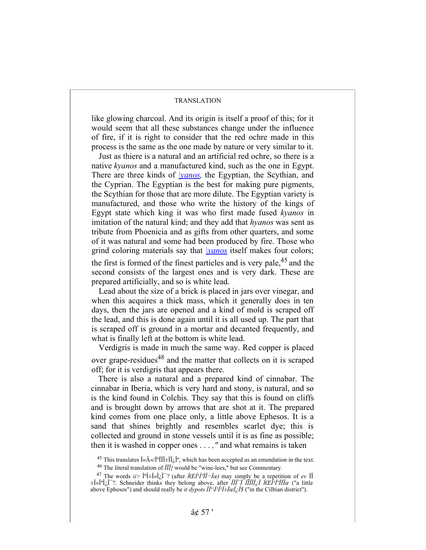## TRANSLATION

like glowing charcoal. And its origin is itself a proof of this; for it would seem that all these substances change under the influence of fire, if it is right to consider that the red ochre made in this process is the same as the one made by nature or very similar to it.

Just as thiere is a natural and an artificial red ochre, so there is a native *kyanos* and a manufactured kind, such as the one in Egypt. There are three kinds of *\yanos,* the Egyptian, the Scythian, and the Cyprian. The Egyptian is the best for making pure pigments, the Scythian for those that are more dilute. The Egyptian variety is manufactured, and those who write the history of the kings of Egypt state which king it was who first made fused *kyanos* in imitation of the natural kind; and they add that *hyanos* was sent as tribute from Phoenicia and as gifts from other quarters, and some of it was natural and some had been produced by fire. Those who grind coloring materials say that *\yanos* itself makes four colors; the first is formed of the finest particles and is very pale,  $45$  and the second consists of the largest ones and is very dark. These are prepared artificially, and so is white lead.

Lead about the size of a brick is placed in jars over vinegar, and when this acquires a thick mass, which it generally does in ten days, then the jars are opened and a kind of mold is scraped off the lead, and this is done again until it is all used up. The part that is scraped off is ground in a mortar and decanted frequently, and what is finally left at the bottom is white lead.

Verdigris is made in much the same way. Red copper is placed over grape-residues<sup>48</sup> and the matter that collects on it is scraped off; for it is verdigris that appears there.

There is also a natural and a prepared kind of cinnabar. The cinnabar in Iberia, which is very hard and stony, is natural, and so is the kind found in Colchis. They say that this is found on cliffs and is brought down by arrows that are shot at it. The prepared kind comes from one place only, a little above Ephesos. It is a sand that shines brightly and resembles scarlet dye; this is collected and ground in stone vessels until it is as fine as possible; then it is washed in copper ones . . . *,"* and what remains is taken

<sup>&</sup>lt;sup>45</sup> This translates  $\hat{\mathbf{l}} \times \hat{\mathbf{A}} \times (\hat{\mathbf{l}}^{\circ} \hat{\mathbf{l}}) + \hat{\mathbf{l}} \hat{\mathbf{l}} \hat{\mathbf{l}}$ , which has been accepted as an emendation in the text. 46 The literal translation of *ÏÏÏ{* would be "wine-lees," but see Commentary.

<sup>&</sup>lt;sup>47</sup> The words  $ii > \hat{I}^{\circ}i + \hat{I}^{\circ}i$ ,  $\hat{I}^{\circ}$ ? (after  $\hat{I} \times \hat{I}^{\circ}i\hat{I}^{-1} \times \hat{I}$  may simply be a repetition of *ev*  $\hat{I}$ ±Î»ÎºÎ¿Î¯?. Schneider thinks they belong above, after *ÏÏÎ¯Ï ÎÏÎÏÎ¿Ï ÎŒÎ¹κÏÏΜ* ("a little above Ephesos") and should really be *it dypots*  $\hat{I}^I\hat{I}^I\hat{I}^{\perp}\hat{I}$  *and*  $\hat{I}^S\hat{I}^S$  *("in the Cilbian district").*